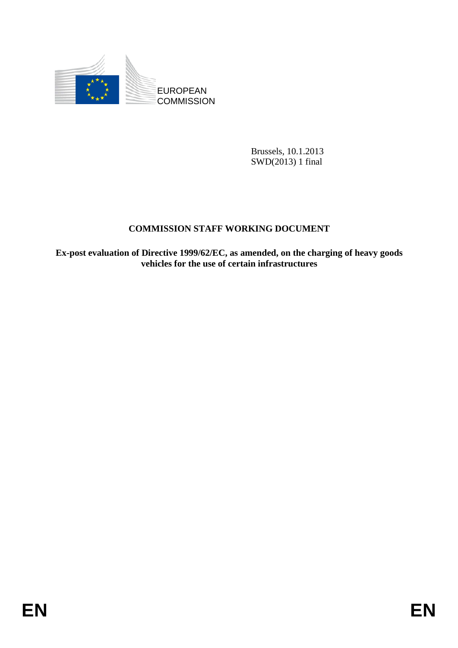

Brussels, 10.1.2013 SWD(2013) 1 final

# **COMMISSION STAFF WORKING DOCUMENT**

**Ex-post evaluation of Directive 1999/62/EC, as amended, on the charging of heavy goods vehicles for the use of certain infrastructures**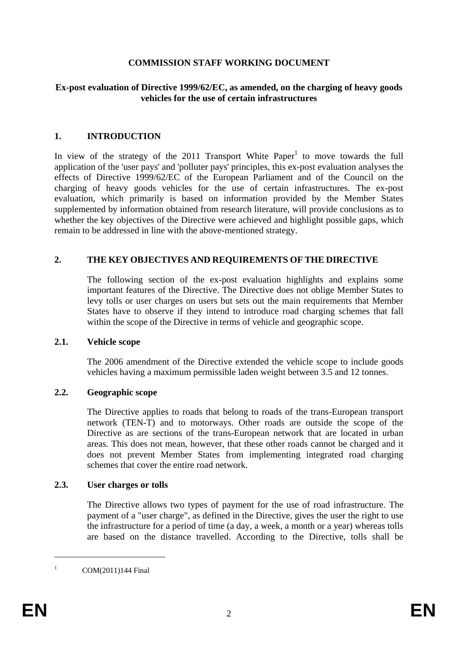## **COMMISSION STAFF WORKING DOCUMENT**

#### **Ex-post evaluation of Directive 1999/62/EC, as amended, on the charging of heavy goods vehicles for the use of certain infrastructures**

### **1. INTRODUCTION**

In view of the strategy of the  $2011$  Transport White Paper<sup>1</sup> to move towards the full application of the 'user pays' and 'polluter pays' principles, this ex-post evaluation analyses the effects of Directive 1999/62/EC of the European Parliament and of the Council on the charging of heavy goods vehicles for the use of certain infrastructures. The ex-post evaluation, which primarily is based on information provided by the Member States supplemented by information obtained from research literature, will provide conclusions as to whether the key objectives of the Directive were achieved and highlight possible gaps, which remain to be addressed in line with the above-mentioned strategy.

## **2. THE KEY OBJECTIVES AND REQUIREMENTS OF THE DIRECTIVE**

The following section of the ex-post evaluation highlights and explains some important features of the Directive. The Directive does not oblige Member States to levy tolls or user charges on users but sets out the main requirements that Member States have to observe if they intend to introduce road charging schemes that fall within the scope of the Directive in terms of vehicle and geographic scope.

#### **2.1. Vehicle scope**

The 2006 amendment of the Directive extended the vehicle scope to include goods vehicles having a maximum permissible laden weight between 3.5 and 12 tonnes.

#### **2.2. Geographic scope**

The Directive applies to roads that belong to roads of the trans-European transport network (TEN-T) and to motorways. Other roads are outside the scope of the Directive as are sections of the trans-European network that are located in urban areas. This does not mean, however, that these other roads cannot be charged and it does not prevent Member States from implementing integrated road charging schemes that cover the entire road network.

#### **2.3. User charges or tolls**

The Directive allows two types of payment for the use of road infrastructure. The payment of a "user charge", as defined in the Directive, gives the user the right to use the infrastructure for a period of time (a day, a week, a month or a year) whereas tolls are based on the distance travelled. According to the Directive, tolls shall be

<u>.</u>

<sup>1</sup> COM(2011)144 Final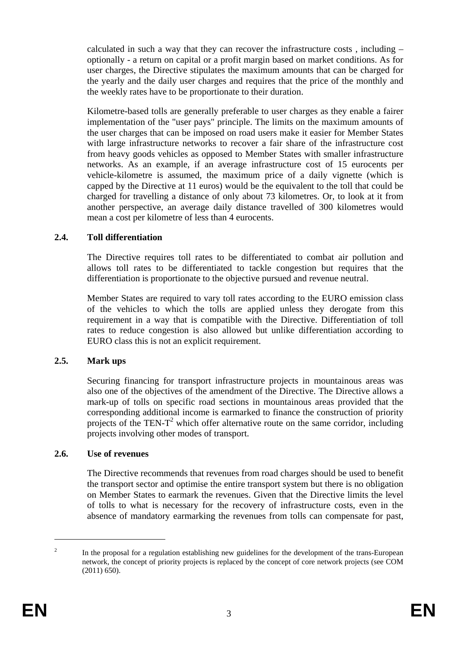calculated in such a way that they can recover the infrastructure costs, including  $$ optionally - a return on capital or a profit margin based on market conditions. As for user charges, the Directive stipulates the maximum amounts that can be charged for the yearly and the daily user charges and requires that the price of the monthly and the weekly rates have to be proportionate to their duration.

Kilometre-based tolls are generally preferable to user charges as they enable a fairer implementation of the "user pays" principle. The limits on the maximum amounts of the user charges that can be imposed on road users make it easier for Member States with large infrastructure networks to recover a fair share of the infrastructure cost from heavy goods vehicles as opposed to Member States with smaller infrastructure networks. As an example, if an average infrastructure cost of 15 eurocents per vehicle-kilometre is assumed, the maximum price of a daily vignette (which is capped by the Directive at 11 euros) would be the equivalent to the toll that could be charged for travelling a distance of only about 73 kilometres. Or, to look at it from another perspective, an average daily distance travelled of 300 kilometres would mean a cost per kilometre of less than 4 eurocents.

## **2.4. Toll differentiation**

The Directive requires toll rates to be differentiated to combat air pollution and allows toll rates to be differentiated to tackle congestion but requires that the differentiation is proportionate to the objective pursued and revenue neutral.

Member States are required to vary toll rates according to the EURO emission class of the vehicles to which the tolls are applied unless they derogate from this requirement in a way that is compatible with the Directive. Differentiation of toll rates to reduce congestion is also allowed but unlike differentiation according to EURO class this is not an explicit requirement.

#### **2.5. Mark ups**

Securing financing for transport infrastructure projects in mountainous areas was also one of the objectives of the amendment of the Directive. The Directive allows a mark-up of tolls on specific road sections in mountainous areas provided that the corresponding additional income is earmarked to finance the construction of priority projects of the TEN- $T^2$  which offer alternative route on the same corridor, including projects involving other modes of transport.

#### **2.6. Use of revenues**

The Directive recommends that revenues from road charges should be used to benefit the transport sector and optimise the entire transport system but there is no obligation on Member States to earmark the revenues. Given that the Directive limits the level of tolls to what is necessary for the recovery of infrastructure costs, even in the absence of mandatory earmarking the revenues from tolls can compensate for past,

<sup>2</sup> In the proposal for a regulation establishing new guidelines for the development of the trans-European network, the concept of priority projects is replaced by the concept of core network projects (see COM (2011) 650).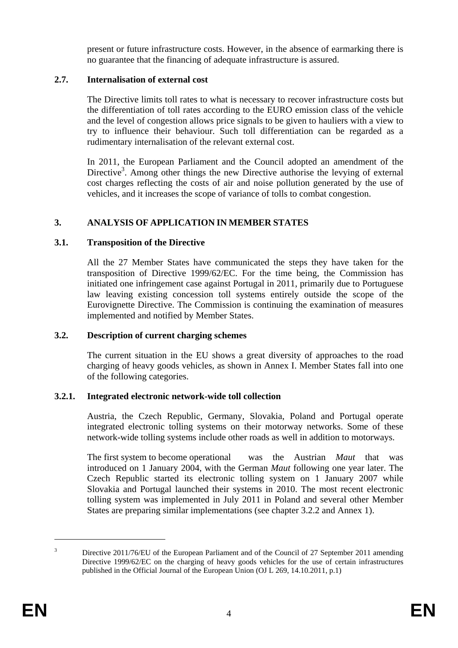present or future infrastructure costs. However, in the absence of earmarking there is no guarantee that the financing of adequate infrastructure is assured.

## **2.7. Internalisation of external cost**

The Directive limits toll rates to what is necessary to recover infrastructure costs but the differentiation of toll rates according to the EURO emission class of the vehicle and the level of congestion allows price signals to be given to hauliers with a view to try to influence their behaviour. Such toll differentiation can be regarded as a rudimentary internalisation of the relevant external cost.

In 2011, the European Parliament and the Council adopted an amendment of the Directive<sup>3</sup>. Among other things the new Directive authorise the levying of external cost charges reflecting the costs of air and noise pollution generated by the use of vehicles, and it increases the scope of variance of tolls to combat congestion.

## **3. ANALYSIS OF APPLICATION IN MEMBER STATES**

#### **3.1. Transposition of the Directive**

All the 27 Member States have communicated the steps they have taken for the transposition of Directive 1999/62/EC. For the time being, the Commission has initiated one infringement case against Portugal in 2011, primarily due to Portuguese law leaving existing concession toll systems entirely outside the scope of the Eurovignette Directive. The Commission is continuing the examination of measures implemented and notified by Member States.

#### **3.2. Description of current charging schemes**

The current situation in the EU shows a great diversity of approaches to the road charging of heavy goods vehicles, as shown in Annex I. Member States fall into one of the following categories.

#### **3.2.1. Integrated electronic network-wide toll collection**

Austria, the Czech Republic, Germany, Slovakia, Poland and Portugal operate integrated electronic tolling systems on their motorway networks. Some of these network-wide tolling systems include other roads as well in addition to motorways.

The first system to become operational was the Austrian *Maut* that was introduced on 1 January 2004, with the German *Maut* following one year later. The Czech Republic started its electronic tolling system on 1 January 2007 while Slovakia and Portugal launched their systems in 2010. The most recent electronic tolling system was implemented in July 2011 in Poland and several other Member States are preparing similar implementations (see chapter 3.2.2 and Annex 1).

<sup>3</sup> Directive 2011/76/EU of the European Parliament and of the Council of 27 September 2011 amending Directive 1999/62/EC on the charging of heavy goods vehicles for the use of certain infrastructures published in the Official Journal of the European Union (OJ L 269, 14.10.2011, p.1)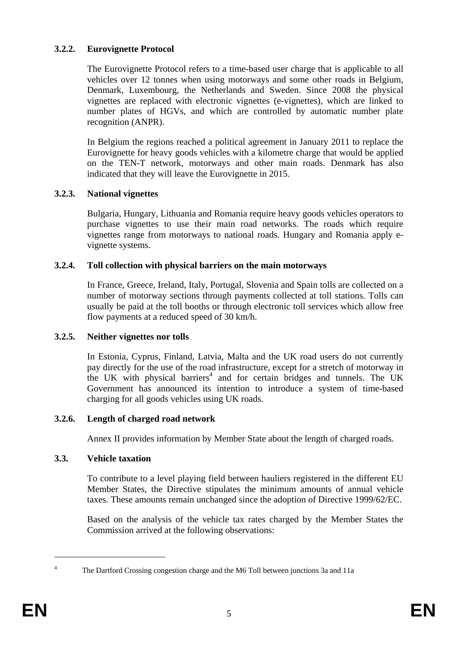# **3.2.2. Eurovignette Protocol**

The Eurovignette Protocol refers to a time-based user charge that is applicable to all vehicles over 12 tonnes when using motorways and some other roads in Belgium, Denmark, Luxembourg, the Netherlands and Sweden. Since 2008 the physical vignettes are replaced with electronic vignettes (e-vignettes), which are linked to number plates of HGVs, and which are controlled by automatic number plate recognition (ANPR).

In Belgium the regions reached a political agreement in January 2011 to replace the Eurovignette for heavy goods vehicles with a kilometre charge that would be applied on the TEN-T network, motorways and other main roads. Denmark has also indicated that they will leave the Eurovignette in 2015.

# **3.2.3. National vignettes**

Bulgaria, Hungary, Lithuania and Romania require heavy goods vehicles operators to purchase vignettes to use their main road networks. The roads which require vignettes range from motorways to national roads. Hungary and Romania apply evignette systems.

# **3.2.4. Toll collection with physical barriers on the main motorways**

In France, Greece, Ireland, Italy, Portugal, Slovenia and Spain tolls are collected on a number of motorway sections through payments collected at toll stations. Tolls can usually be paid at the toll booths or through electronic toll services which allow free flow payments at a reduced speed of 30 km/h.

# **3.2.5. Neither vignettes nor tolls**

In Estonia, Cyprus, Finland, Latvia, Malta and the UK road users do not currently pay directly for the use of the road infrastructure, except for a stretch of motorway in the UK with physical barriers<sup>4</sup> and for certain bridges and tunnels. The UK Government has announced its intention to introduce a system of time-based charging for all goods vehicles using UK roads.

# **3.2.6. Length of charged road network**

Annex II provides information by Member State about the length of charged roads.

#### **3.3. Vehicle taxation**

To contribute to a level playing field between hauliers registered in the different EU Member States, the Directive stipulates the minimum amounts of annual vehicle taxes. These amounts remain unchanged since the adoption of Directive 1999/62/EC.

Based on the analysis of the vehicle tax rates charged by the Member States the Commission arrived at the following observations:

<u>.</u> 4

The Dartford Crossing congestion charge and the M6 Toll between junctions 3a and 11a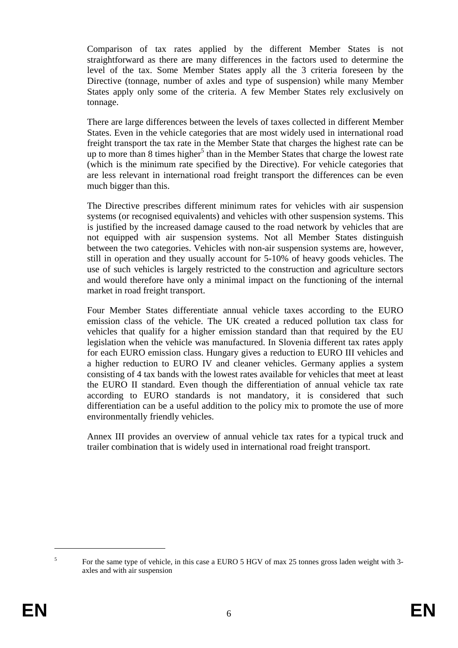Comparison of tax rates applied by the different Member States is not straightforward as there are many differences in the factors used to determine the level of the tax. Some Member States apply all the 3 criteria foreseen by the Directive (tonnage, number of axles and type of suspension) while many Member States apply only some of the criteria. A few Member States rely exclusively on tonnage.

There are large differences between the levels of taxes collected in different Member States. Even in the vehicle categories that are most widely used in international road freight transport the tax rate in the Member State that charges the highest rate can be up to more than  $8$  times higher<sup>5</sup> than in the Member States that charge the lowest rate (which is the minimum rate specified by the Directive). For vehicle categories that are less relevant in international road freight transport the differences can be even much bigger than this.

The Directive prescribes different minimum rates for vehicles with air suspension systems (or recognised equivalents) and vehicles with other suspension systems. This is justified by the increased damage caused to the road network by vehicles that are not equipped with air suspension systems. Not all Member States distinguish between the two categories. Vehicles with non-air suspension systems are, however, still in operation and they usually account for 5-10% of heavy goods vehicles. The use of such vehicles is largely restricted to the construction and agriculture sectors and would therefore have only a minimal impact on the functioning of the internal market in road freight transport.

Four Member States differentiate annual vehicle taxes according to the EURO emission class of the vehicle. The UK created a reduced pollution tax class for vehicles that qualify for a higher emission standard than that required by the EU legislation when the vehicle was manufactured. In Slovenia different tax rates apply for each EURO emission class. Hungary gives a reduction to EURO III vehicles and a higher reduction to EURO IV and cleaner vehicles. Germany applies a system consisting of 4 tax bands with the lowest rates available for vehicles that meet at least the EURO II standard. Even though the differentiation of annual vehicle tax rate according to EURO standards is not mandatory, it is considered that such differentiation can be a useful addition to the policy mix to promote the use of more environmentally friendly vehicles.

Annex III provides an overview of annual vehicle tax rates for a typical truck and trailer combination that is widely used in international road freight transport.

<sup>5</sup> For the same type of vehicle, in this case a EURO 5 HGV of max 25 tonnes gross laden weight with 3 axles and with air suspension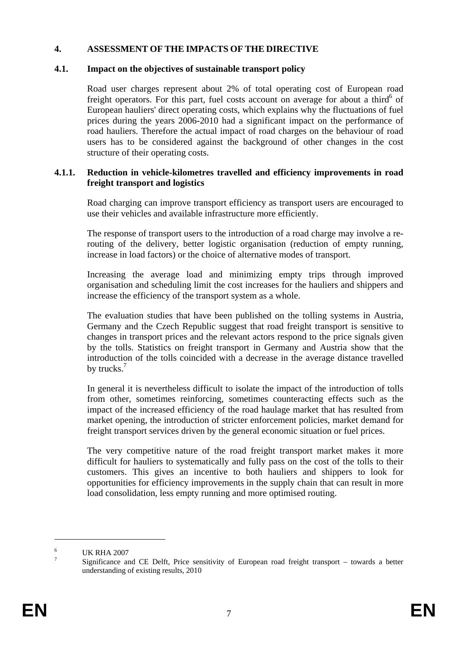### **4. ASSESSMENT OF THE IMPACTS OF THE DIRECTIVE**

#### **4.1. Impact on the objectives of sustainable transport policy**

Road user charges represent about 2% of total operating cost of European road freight operators. For this part, fuel costs account on average for about a third<sup>6</sup> of European hauliers' direct operating costs, which explains why the fluctuations of fuel prices during the years 2006-2010 had a significant impact on the performance of road hauliers. Therefore the actual impact of road charges on the behaviour of road users has to be considered against the background of other changes in the cost structure of their operating costs.

### **4.1.1. Reduction in vehicle-kilometres travelled and efficiency improvements in road freight transport and logistics**

Road charging can improve transport efficiency as transport users are encouraged to use their vehicles and available infrastructure more efficiently.

The response of transport users to the introduction of a road charge may involve a rerouting of the delivery, better logistic organisation (reduction of empty running, increase in load factors) or the choice of alternative modes of transport.

Increasing the average load and minimizing empty trips through improved organisation and scheduling limit the cost increases for the hauliers and shippers and increase the efficiency of the transport system as a whole.

The evaluation studies that have been published on the tolling systems in Austria, Germany and the Czech Republic suggest that road freight transport is sensitive to changes in transport prices and the relevant actors respond to the price signals given by the tolls. Statistics on freight transport in Germany and Austria show that the introduction of the tolls coincided with a decrease in the average distance travelled by trucks. $<sup>7</sup>$ </sup>

In general it is nevertheless difficult to isolate the impact of the introduction of tolls from other, sometimes reinforcing, sometimes counteracting effects such as the impact of the increased efficiency of the road haulage market that has resulted from market opening, the introduction of stricter enforcement policies, market demand for freight transport services driven by the general economic situation or fuel prices.

The very competitive nature of the road freight transport market makes it more difficult for hauliers to systematically and fully pass on the cost of the tolls to their customers. This gives an incentive to both hauliers and shippers to look for opportunities for efficiency improvements in the supply chain that can result in more load consolidation, less empty running and more optimised routing.

<sup>6</sup> UK RHA 2007 7

Significance and CE Delft, Price sensitivity of European road freight transport – towards a better understanding of existing results, 2010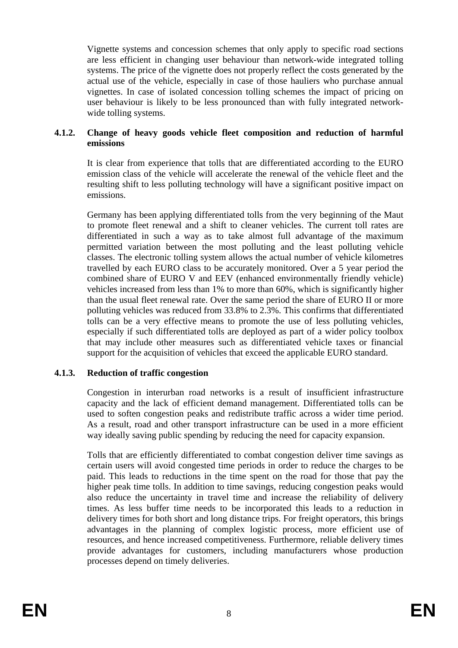Vignette systems and concession schemes that only apply to specific road sections are less efficient in changing user behaviour than network-wide integrated tolling systems. The price of the vignette does not properly reflect the costs generated by the actual use of the vehicle, especially in case of those hauliers who purchase annual vignettes. In case of isolated concession tolling schemes the impact of pricing on user behaviour is likely to be less pronounced than with fully integrated networkwide tolling systems.

## **4.1.2. Change of heavy goods vehicle fleet composition and reduction of harmful emissions**

It is clear from experience that tolls that are differentiated according to the EURO emission class of the vehicle will accelerate the renewal of the vehicle fleet and the resulting shift to less polluting technology will have a significant positive impact on emissions.

Germany has been applying differentiated tolls from the very beginning of the Maut to promote fleet renewal and a shift to cleaner vehicles. The current toll rates are differentiated in such a way as to take almost full advantage of the maximum permitted variation between the most polluting and the least polluting vehicle classes. The electronic tolling system allows the actual number of vehicle kilometres travelled by each EURO class to be accurately monitored. Over a 5 year period the combined share of EURO V and EEV (enhanced environmentally friendly vehicle) vehicles increased from less than 1% to more than 60%, which is significantly higher than the usual fleet renewal rate. Over the same period the share of EURO II or more polluting vehicles was reduced from 33.8% to 2.3%. This confirms that differentiated tolls can be a very effective means to promote the use of less polluting vehicles, especially if such differentiated tolls are deployed as part of a wider policy toolbox that may include other measures such as differentiated vehicle taxes or financial support for the acquisition of vehicles that exceed the applicable EURO standard.

#### **4.1.3. Reduction of traffic congestion**

Congestion in interurban road networks is a result of insufficient infrastructure capacity and the lack of efficient demand management. Differentiated tolls can be used to soften congestion peaks and redistribute traffic across a wider time period. As a result, road and other transport infrastructure can be used in a more efficient way ideally saving public spending by reducing the need for capacity expansion.

Tolls that are efficiently differentiated to combat congestion deliver time savings as certain users will avoid congested time periods in order to reduce the charges to be paid. This leads to reductions in the time spent on the road for those that pay the higher peak time tolls. In addition to time savings, reducing congestion peaks would also reduce the uncertainty in travel time and increase the reliability of delivery times. As less buffer time needs to be incorporated this leads to a reduction in delivery times for both short and long distance trips. For freight operators, this brings advantages in the planning of complex logistic process, more efficient use of resources, and hence increased competitiveness. Furthermore, reliable delivery times provide advantages for customers, including manufacturers whose production processes depend on timely deliveries.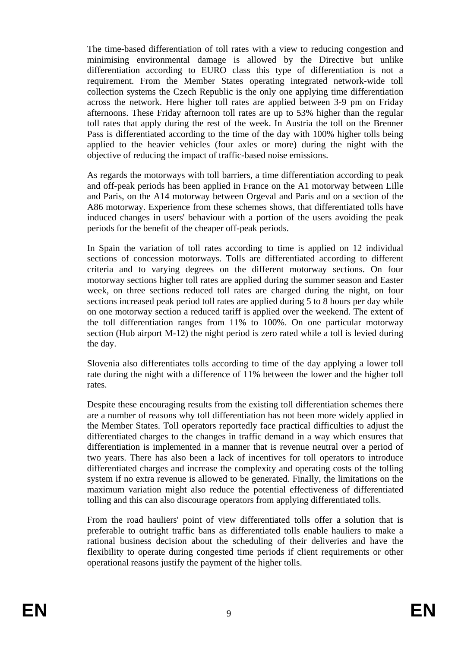The time-based differentiation of toll rates with a view to reducing congestion and minimising environmental damage is allowed by the Directive but unlike differentiation according to EURO class this type of differentiation is not a requirement. From the Member States operating integrated network-wide toll collection systems the Czech Republic is the only one applying time differentiation across the network. Here higher toll rates are applied between 3-9 pm on Friday afternoons. These Friday afternoon toll rates are up to 53% higher than the regular toll rates that apply during the rest of the week. In Austria the toll on the Brenner Pass is differentiated according to the time of the day with 100% higher tolls being applied to the heavier vehicles (four axles or more) during the night with the objective of reducing the impact of traffic-based noise emissions.

As regards the motorways with toll barriers, a time differentiation according to peak and off-peak periods has been applied in France on the A1 motorway between Lille and Paris, on the A14 motorway between Orgeval and Paris and on a section of the A86 motorway. Experience from these schemes shows, that differentiated tolls have induced changes in users' behaviour with a portion of the users avoiding the peak periods for the benefit of the cheaper off-peak periods.

In Spain the variation of toll rates according to time is applied on 12 individual sections of concession motorways. Tolls are differentiated according to different criteria and to varying degrees on the different motorway sections. On four motorway sections higher toll rates are applied during the summer season and Easter week, on three sections reduced toll rates are charged during the night, on four sections increased peak period toll rates are applied during 5 to 8 hours per day while on one motorway section a reduced tariff is applied over the weekend. The extent of the toll differentiation ranges from 11% to 100%. On one particular motorway section (Hub airport M-12) the night period is zero rated while a toll is levied during the day.

Slovenia also differentiates tolls according to time of the day applying a lower toll rate during the night with a difference of 11% between the lower and the higher toll rates.

Despite these encouraging results from the existing toll differentiation schemes there are a number of reasons why toll differentiation has not been more widely applied in the Member States. Toll operators reportedly face practical difficulties to adjust the differentiated charges to the changes in traffic demand in a way which ensures that differentiation is implemented in a manner that is revenue neutral over a period of two years. There has also been a lack of incentives for toll operators to introduce differentiated charges and increase the complexity and operating costs of the tolling system if no extra revenue is allowed to be generated. Finally, the limitations on the maximum variation might also reduce the potential effectiveness of differentiated tolling and this can also discourage operators from applying differentiated tolls.

From the road hauliers' point of view differentiated tolls offer a solution that is preferable to outright traffic bans as differentiated tolls enable hauliers to make a rational business decision about the scheduling of their deliveries and have the flexibility to operate during congested time periods if client requirements or other operational reasons justify the payment of the higher tolls.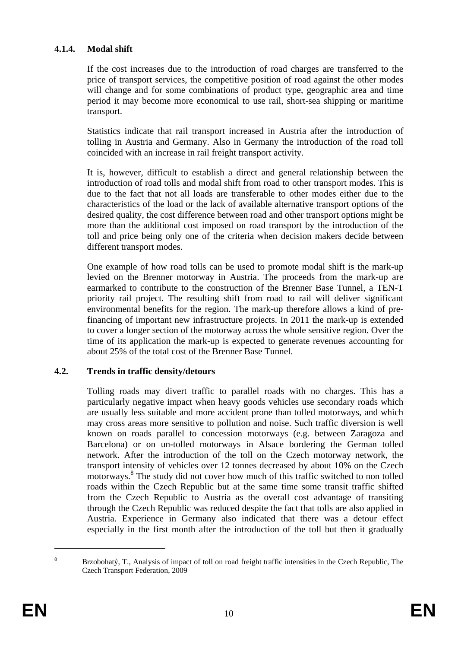## **4.1.4. Modal shift**

If the cost increases due to the introduction of road charges are transferred to the price of transport services, the competitive position of road against the other modes will change and for some combinations of product type, geographic area and time period it may become more economical to use rail, short-sea shipping or maritime transport.

Statistics indicate that rail transport increased in Austria after the introduction of tolling in Austria and Germany. Also in Germany the introduction of the road toll coincided with an increase in rail freight transport activity.

It is, however, difficult to establish a direct and general relationship between the introduction of road tolls and modal shift from road to other transport modes. This is due to the fact that not all loads are transferable to other modes either due to the characteristics of the load or the lack of available alternative transport options of the desired quality, the cost difference between road and other transport options might be more than the additional cost imposed on road transport by the introduction of the toll and price being only one of the criteria when decision makers decide between different transport modes.

One example of how road tolls can be used to promote modal shift is the mark-up levied on the Brenner motorway in Austria. The proceeds from the mark-up are earmarked to contribute to the construction of the Brenner Base Tunnel, a TEN-T priority rail project. The resulting shift from road to rail will deliver significant environmental benefits for the region. The mark-up therefore allows a kind of prefinancing of important new infrastructure projects. In 2011 the mark-up is extended to cover a longer section of the motorway across the whole sensitive region. Over the time of its application the mark-up is expected to generate revenues accounting for about 25% of the total cost of the Brenner Base Tunnel.

#### **4.2. Trends in traffic density/detours**

Tolling roads may divert traffic to parallel roads with no charges. This has a particularly negative impact when heavy goods vehicles use secondary roads which are usually less suitable and more accident prone than tolled motorways, and which may cross areas more sensitive to pollution and noise. Such traffic diversion is well known on roads parallel to concession motorways (e.g. between Zaragoza and Barcelona) or on un-tolled motorways in Alsace bordering the German tolled network. After the introduction of the toll on the Czech motorway network, the transport intensity of vehicles over 12 tonnes decreased by about 10% on the Czech motorways.8 The study did not cover how much of this traffic switched to non tolled roads within the Czech Republic but at the same time some transit traffic shifted from the Czech Republic to Austria as the overall cost advantage of transiting through the Czech Republic was reduced despite the fact that tolls are also applied in Austria. Experience in Germany also indicated that there was a detour effect especially in the first month after the introduction of the toll but then it gradually

<sup>8</sup> Brzobohatý, T., Analysis of impact of toll on road freight traffic intensities in the Czech Republic, The Czech Transport Federation, 2009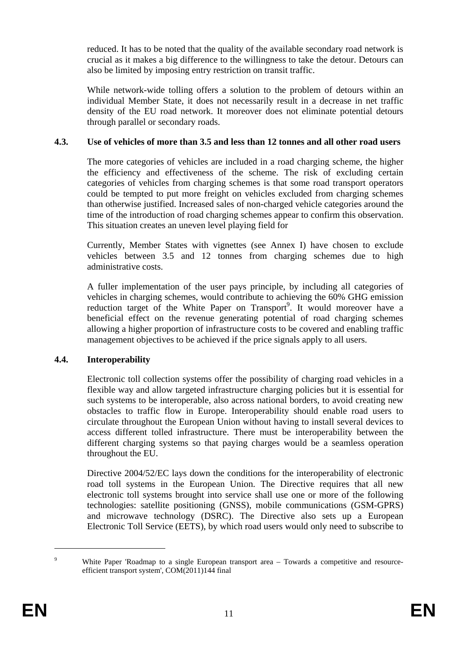reduced. It has to be noted that the quality of the available secondary road network is crucial as it makes a big difference to the willingness to take the detour. Detours can also be limited by imposing entry restriction on transit traffic.

While network-wide tolling offers a solution to the problem of detours within an individual Member State, it does not necessarily result in a decrease in net traffic density of the EU road network. It moreover does not eliminate potential detours through parallel or secondary roads.

## **4.3. Use of vehicles of more than 3.5 and less than 12 tonnes and all other road users**

The more categories of vehicles are included in a road charging scheme, the higher the efficiency and effectiveness of the scheme. The risk of excluding certain categories of vehicles from charging schemes is that some road transport operators could be tempted to put more freight on vehicles excluded from charging schemes than otherwise justified. Increased sales of non-charged vehicle categories around the time of the introduction of road charging schemes appear to confirm this observation. This situation creates an uneven level playing field for

Currently, Member States with vignettes (see Annex I) have chosen to exclude vehicles between 3.5 and 12 tonnes from charging schemes due to high administrative costs.

A fuller implementation of the user pays principle, by including all categories of vehicles in charging schemes, would contribute to achieving the 60% GHG emission reduction target of the White Paper on Transport<sup>9</sup>. It would moreover have a beneficial effect on the revenue generating potential of road charging schemes allowing a higher proportion of infrastructure costs to be covered and enabling traffic management objectives to be achieved if the price signals apply to all users.

# **4.4. Interoperability**

Electronic toll collection systems offer the possibility of charging road vehicles in a flexible way and allow targeted infrastructure charging policies but it is essential for such systems to be interoperable, also across national borders, to avoid creating new obstacles to traffic flow in Europe. Interoperability should enable road users to circulate throughout the European Union without having to install several devices to access different tolled infrastructure. There must be interoperability between the different charging systems so that paying charges would be a seamless operation throughout the EU.

Directive 2004/52/EC lays down the conditions for the interoperability of electronic road toll systems in the European Union. The Directive requires that all new electronic toll systems brought into service shall use one or more of the following technologies: satellite positioning (GNSS), mobile communications (GSM-GPRS) and microwave technology (DSRC). The Directive also sets up a European Electronic Toll Service (EETS), by which road users would only need to subscribe to

 $\overline{9}$ White Paper 'Roadmap to a single European transport area – Towards a competitive and resourceefficient transport system', COM(2011)144 final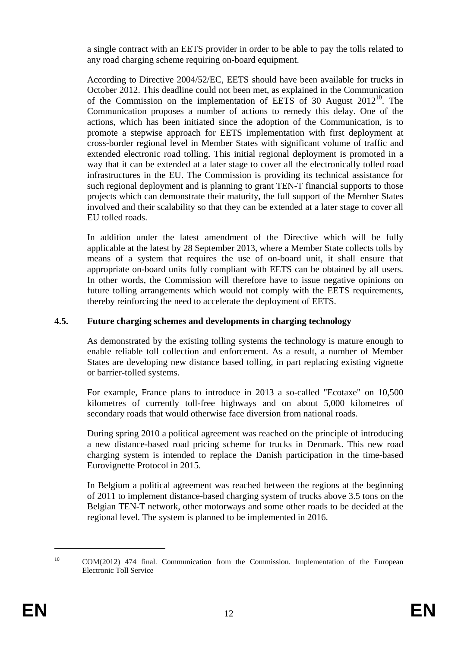a single contract with an EETS provider in order to be able to pay the tolls related to any road charging scheme requiring on-board equipment.

According to Directive 2004/52/EC, EETS should have been available for trucks in October 2012. This deadline could not been met, as explained in the Communication of the Commission on the implementation of EETS of 30 August  $2012^{10}$ . The Communication proposes a number of actions to remedy this delay. One of the actions, which has been initiated since the adoption of the Communication, is to promote a stepwise approach for EETS implementation with first deployment at cross-border regional level in Member States with significant volume of traffic and extended electronic road tolling. This initial regional deployment is promoted in a way that it can be extended at a later stage to cover all the electronically tolled road infrastructures in the EU. The Commission is providing its technical assistance for such regional deployment and is planning to grant TEN-T financial supports to those projects which can demonstrate their maturity, the full support of the Member States involved and their scalability so that they can be extended at a later stage to cover all EU tolled roads.

In addition under the latest amendment of the Directive which will be fully applicable at the latest by 28 September 2013, where a Member State collects tolls by means of a system that requires the use of on-board unit, it shall ensure that appropriate on-board units fully compliant with EETS can be obtained by all users. In other words, the Commission will therefore have to issue negative opinions on future tolling arrangements which would not comply with the EETS requirements, thereby reinforcing the need to accelerate the deployment of EETS.

# **4.5. Future charging schemes and developments in charging technology**

As demonstrated by the existing tolling systems the technology is mature enough to enable reliable toll collection and enforcement. As a result, a number of Member States are developing new distance based tolling, in part replacing existing vignette or barrier-tolled systems.

For example, France plans to introduce in 2013 a so-called "Ecotaxe" on 10,500 kilometres of currently toll-free highways and on about 5,000 kilometres of secondary roads that would otherwise face diversion from national roads.

During spring 2010 a political agreement was reached on the principle of introducing a new distance-based road pricing scheme for trucks in Denmark. This new road charging system is intended to replace the Danish participation in the time-based Eurovignette Protocol in 2015.

In Belgium a political agreement was reached between the regions at the beginning of 2011 to implement distance-based charging system of trucks above 3.5 tons on the Belgian TEN-T network, other motorways and some other roads to be decided at the regional level. The system is planned to be implemented in 2016.

<sup>10</sup> COM(2012) 474 final. Communication from the Commission. Implementation of the European Electronic Toll Service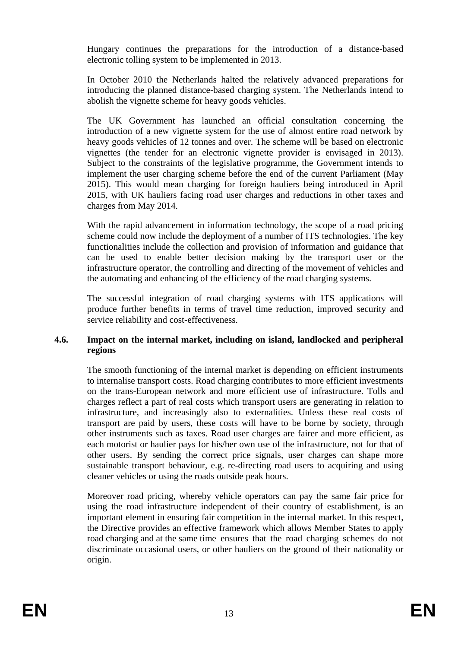Hungary continues the preparations for the introduction of a distance-based electronic tolling system to be implemented in 2013.

In October 2010 the Netherlands halted the relatively advanced preparations for introducing the planned distance-based charging system. The Netherlands intend to abolish the vignette scheme for heavy goods vehicles.

The UK Government has launched an official consultation concerning the introduction of a new vignette system for the use of almost entire road network by heavy goods vehicles of 12 tonnes and over. The scheme will be based on electronic vignettes (the tender for an electronic vignette provider is envisaged in 2013). Subject to the constraints of the legislative programme, the Government intends to implement the user charging scheme before the end of the current Parliament (May 2015). This would mean charging for foreign hauliers being introduced in April 2015, with UK hauliers facing road user charges and reductions in other taxes and charges from May 2014.

With the rapid advancement in information technology, the scope of a road pricing scheme could now include the deployment of a number of ITS technologies. The key functionalities include the collection and provision of information and guidance that can be used to enable better decision making by the transport user or the infrastructure operator, the controlling and directing of the movement of vehicles and the automating and enhancing of the efficiency of the road charging systems.

The successful integration of road charging systems with ITS applications will produce further benefits in terms of travel time reduction, improved security and service reliability and cost-effectiveness.

## **4.6. Impact on the internal market, including on island, landlocked and peripheral regions**

The smooth functioning of the internal market is depending on efficient instruments to internalise transport costs. Road charging contributes to more efficient investments on the trans-European network and more efficient use of infrastructure. Tolls and charges reflect a part of real costs which transport users are generating in relation to infrastructure, and increasingly also to externalities. Unless these real costs of transport are paid by users, these costs will have to be borne by society, through other instruments such as taxes. Road user charges are fairer and more efficient, as each motorist or haulier pays for his/her own use of the infrastructure, not for that of other users. By sending the correct price signals, user charges can shape more sustainable transport behaviour, e.g. re-directing road users to acquiring and using cleaner vehicles or using the roads outside peak hours.

Moreover road pricing, whereby vehicle operators can pay the same fair price for using the road infrastructure independent of their country of establishment, is an important element in ensuring fair competition in the internal market. In this respect, the Directive provides an effective framework which allows Member States to apply road charging and at the same time ensures that the road charging schemes do not discriminate occasional users, or other hauliers on the ground of their nationality or origin.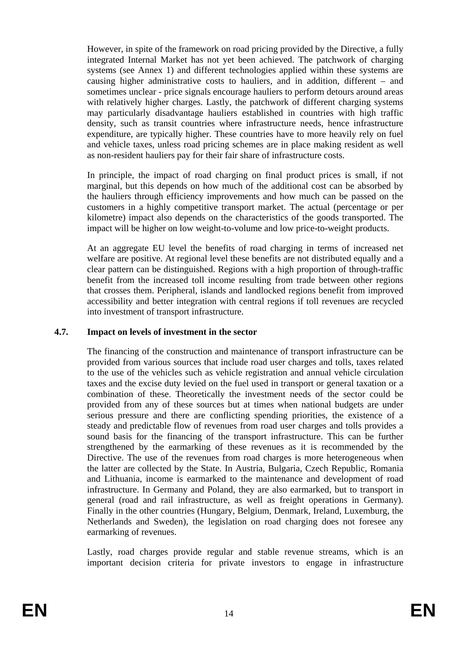However, in spite of the framework on road pricing provided by the Directive, a fully integrated Internal Market has not yet been achieved. The patchwork of charging systems (see Annex 1) and different technologies applied within these systems are causing higher administrative costs to hauliers, and in addition, different – and sometimes unclear - price signals encourage hauliers to perform detours around areas with relatively higher charges. Lastly, the patchwork of different charging systems may particularly disadvantage hauliers established in countries with high traffic density, such as transit countries where infrastructure needs, hence infrastructure expenditure, are typically higher. These countries have to more heavily rely on fuel and vehicle taxes, unless road pricing schemes are in place making resident as well as non-resident hauliers pay for their fair share of infrastructure costs.

In principle, the impact of road charging on final product prices is small, if not marginal, but this depends on how much of the additional cost can be absorbed by the hauliers through efficiency improvements and how much can be passed on the customers in a highly competitive transport market. The actual (percentage or per kilometre) impact also depends on the characteristics of the goods transported. The impact will be higher on low weight-to-volume and low price-to-weight products.

At an aggregate EU level the benefits of road charging in terms of increased net welfare are positive. At regional level these benefits are not distributed equally and a clear pattern can be distinguished. Regions with a high proportion of through-traffic benefit from the increased toll income resulting from trade between other regions that crosses them. Peripheral, islands and landlocked regions benefit from improved accessibility and better integration with central regions if toll revenues are recycled into investment of transport infrastructure.

#### **4.7. Impact on levels of investment in the sector**

The financing of the construction and maintenance of transport infrastructure can be provided from various sources that include road user charges and tolls, taxes related to the use of the vehicles such as vehicle registration and annual vehicle circulation taxes and the excise duty levied on the fuel used in transport or general taxation or a combination of these. Theoretically the investment needs of the sector could be provided from any of these sources but at times when national budgets are under serious pressure and there are conflicting spending priorities, the existence of a steady and predictable flow of revenues from road user charges and tolls provides a sound basis for the financing of the transport infrastructure. This can be further strengthened by the earmarking of these revenues as it is recommended by the Directive. The use of the revenues from road charges is more heterogeneous when the latter are collected by the State. In Austria, Bulgaria, Czech Republic, Romania and Lithuania, income is earmarked to the maintenance and development of road infrastructure. In Germany and Poland, they are also earmarked, but to transport in general (road and rail infrastructure, as well as freight operations in Germany). Finally in the other countries (Hungary, Belgium, Denmark, Ireland, Luxemburg, the Netherlands and Sweden), the legislation on road charging does not foresee any earmarking of revenues.

Lastly, road charges provide regular and stable revenue streams, which is an important decision criteria for private investors to engage in infrastructure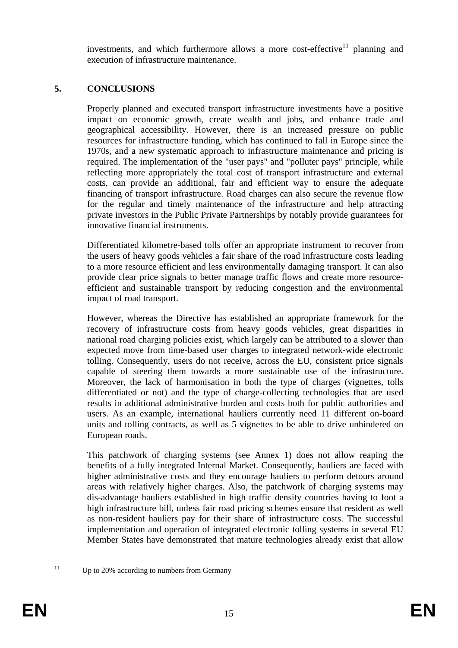investments, and which furthermore allows a more cost-effective<sup>11</sup> planning and execution of infrastructure maintenance.

# **5. CONCLUSIONS**

Properly planned and executed transport infrastructure investments have a positive impact on economic growth, create wealth and jobs, and enhance trade and geographical accessibility. However, there is an increased pressure on public resources for infrastructure funding, which has continued to fall in Europe since the 1970s, and a new systematic approach to infrastructure maintenance and pricing is required. The implementation of the "user pays" and "polluter pays" principle, while reflecting more appropriately the total cost of transport infrastructure and external costs, can provide an additional, fair and efficient way to ensure the adequate financing of transport infrastructure. Road charges can also secure the revenue flow for the regular and timely maintenance of the infrastructure and help attracting private investors in the Public Private Partnerships by notably provide guarantees for innovative financial instruments.

Differentiated kilometre-based tolls offer an appropriate instrument to recover from the users of heavy goods vehicles a fair share of the road infrastructure costs leading to a more resource efficient and less environmentally damaging transport. It can also provide clear price signals to better manage traffic flows and create more resourceefficient and sustainable transport by reducing congestion and the environmental impact of road transport.

However, whereas the Directive has established an appropriate framework for the recovery of infrastructure costs from heavy goods vehicles, great disparities in national road charging policies exist, which largely can be attributed to a slower than expected move from time-based user charges to integrated network-wide electronic tolling. Consequently, users do not receive, across the EU, consistent price signals capable of steering them towards a more sustainable use of the infrastructure. Moreover, the lack of harmonisation in both the type of charges (vignettes, tolls differentiated or not) and the type of charge-collecting technologies that are used results in additional administrative burden and costs both for public authorities and users. As an example, international hauliers currently need 11 different on-board units and tolling contracts, as well as 5 vignettes to be able to drive unhindered on European roads.

This patchwork of charging systems (see Annex 1) does not allow reaping the benefits of a fully integrated Internal Market. Consequently, hauliers are faced with higher administrative costs and they encourage hauliers to perform detours around areas with relatively higher charges. Also, the patchwork of charging systems may dis-advantage hauliers established in high traffic density countries having to foot a high infrastructure bill, unless fair road pricing schemes ensure that resident as well as non-resident hauliers pay for their share of infrastructure costs. The successful implementation and operation of integrated electronic tolling systems in several EU Member States have demonstrated that mature technologies already exist that allow

<u>.</u>

<sup>&</sup>lt;sup>11</sup> Up to 20% according to numbers from Germany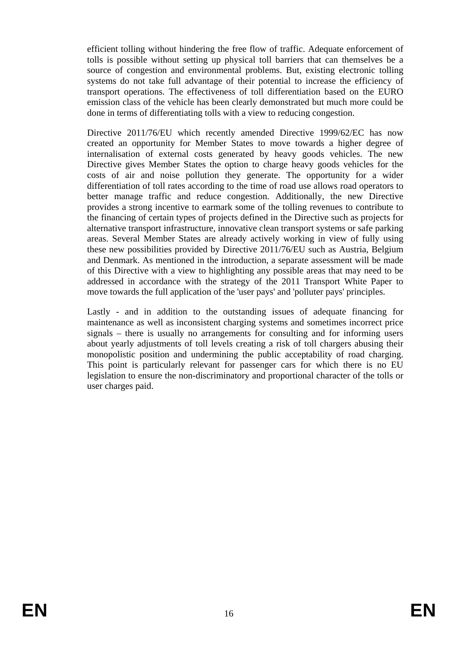efficient tolling without hindering the free flow of traffic. Adequate enforcement of tolls is possible without setting up physical toll barriers that can themselves be a source of congestion and environmental problems. But, existing electronic tolling systems do not take full advantage of their potential to increase the efficiency of transport operations. The effectiveness of toll differentiation based on the EURO emission class of the vehicle has been clearly demonstrated but much more could be done in terms of differentiating tolls with a view to reducing congestion.

Directive 2011/76/EU which recently amended Directive 1999/62/EC has now created an opportunity for Member States to move towards a higher degree of internalisation of external costs generated by heavy goods vehicles. The new Directive gives Member States the option to charge heavy goods vehicles for the costs of air and noise pollution they generate. The opportunity for a wider differentiation of toll rates according to the time of road use allows road operators to better manage traffic and reduce congestion. Additionally, the new Directive provides a strong incentive to earmark some of the tolling revenues to contribute to the financing of certain types of projects defined in the Directive such as projects for alternative transport infrastructure, innovative clean transport systems or safe parking areas. Several Member States are already actively working in view of fully using these new possibilities provided by Directive 2011/76/EU such as Austria, Belgium and Denmark. As mentioned in the introduction, a separate assessment will be made of this Directive with a view to highlighting any possible areas that may need to be addressed in accordance with the strategy of the 2011 Transport White Paper to move towards the full application of the 'user pays' and 'polluter pays' principles.

Lastly - and in addition to the outstanding issues of adequate financing for maintenance as well as inconsistent charging systems and sometimes incorrect price signals – there is usually no arrangements for consulting and for informing users about yearly adjustments of toll levels creating a risk of toll chargers abusing their monopolistic position and undermining the public acceptability of road charging. This point is particularly relevant for passenger cars for which there is no EU legislation to ensure the non-discriminatory and proportional character of the tolls or user charges paid.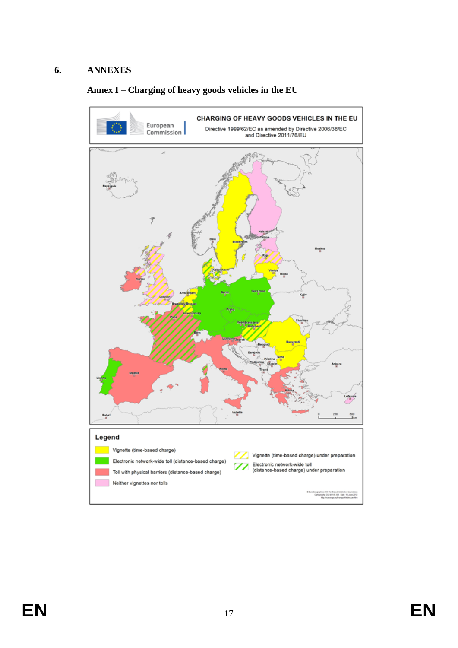## **6. ANNEXES**

# **Annex I – Charging of heavy goods vehicles in the EU**

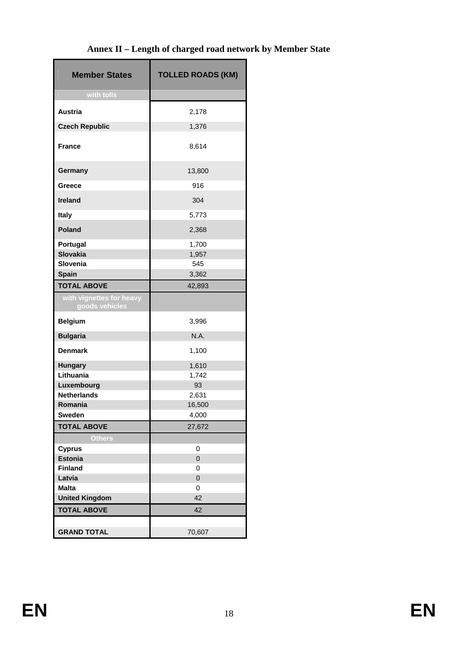# **Annex II – Length of charged road network by Member State**

| <b>Member States</b>                       | <b>TOLLED ROADS (KM)</b> |
|--------------------------------------------|--------------------------|
| with tolls                                 |                          |
| <b>Austria</b>                             | 2,178                    |
| <b>Czech Republic</b>                      | 1,376                    |
|                                            |                          |
| <b>France</b>                              | 8,614                    |
| Germany                                    | 13,800                   |
| Greece                                     | 916                      |
| <b>Ireland</b>                             | 304                      |
| Italy                                      | 5,773                    |
| <b>Poland</b>                              | 2,368                    |
| Portugal                                   | 1,700                    |
| <b>Slovakia</b>                            | 1,957                    |
| Slovenia                                   | 545                      |
| Spain                                      | 3,362                    |
| <b>TOTAL ABOVE</b>                         | 42,893                   |
| with vignettes for heavy<br>goods vehicles |                          |
| <b>Belgium</b>                             | 3,996                    |
| <b>Bulgaria</b>                            | N.A.                     |
| <b>Denmark</b>                             | 1,100                    |
| <b>Hungary</b>                             | 1,610                    |
| Lithuania                                  | 1,742                    |
| Luxembourg                                 | 93                       |
| <b>Netherlands</b>                         | 2,631                    |
| Romania                                    | 16,500                   |
| <b>Sweden</b>                              | 4,000                    |
| <b>TOTAL ABOVE</b>                         | 27,672                   |
| <b>Others</b>                              |                          |
| <b>Cyprus</b>                              | 0                        |
| <b>Estonia</b>                             | $\mathbf 0$              |
| <b>Finland</b>                             | 0                        |
| Latvia                                     | 0                        |
| <b>Malta</b>                               | 0                        |
| <b>United Kingdom</b>                      | 42                       |
| <b>TOTAL ABOVE</b>                         | 42                       |
| <b>GRAND TOTAL</b>                         | 70,607                   |